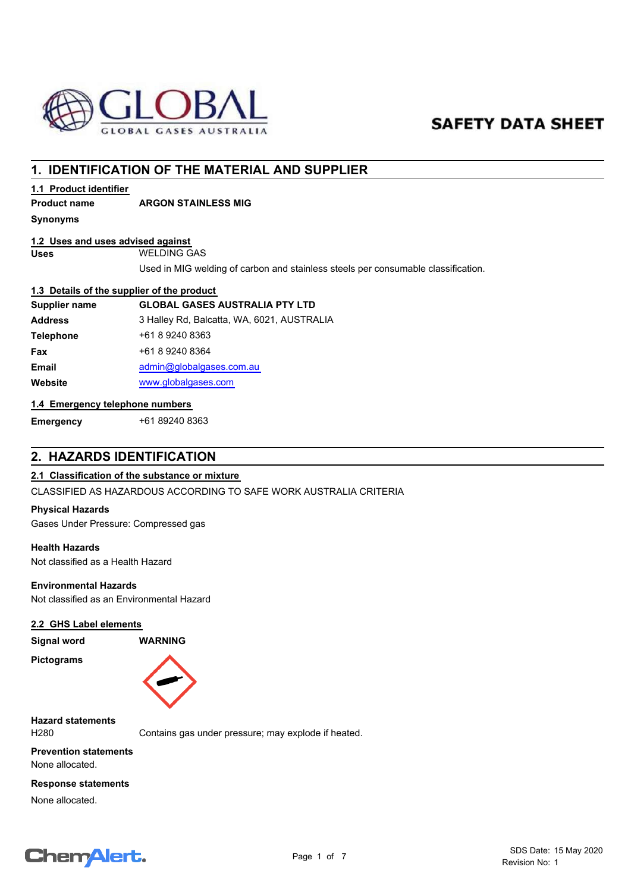

# **SAFETY DATA SHEET**

# **1. IDENTIFICATION OF THE MATERIAL AND SUPPLIER**

# **1.1 Product identifier**

# **Product name ARGON STAINLESS MIG**

**Synonyms**

# **1.2 Uses and uses advised against**

**Uses** WELDING GAS

Used in MIG welding of carbon and stainless steels per consumable classification.

#### **1.3 Details of the supplier of the product**

| Supplier name    | <b>GLOBAL GASES AUSTRALIA PTY LTD</b>      |
|------------------|--------------------------------------------|
| <b>Address</b>   | 3 Halley Rd, Balcatta, WA, 6021, AUSTRALIA |
| <b>Telephone</b> | +61 8 9240 8363                            |
| Fax              | +61 8 9240 8364                            |
| <b>Email</b>     | admin@globalgases.com.au                   |
| Website          | www.globalgases.com                        |
|                  |                                            |

#### **1.4 Emergency telephone numbers**

**Emergency** +61 89240 8363

# **2. HAZARDS IDENTIFICATION**

## **2.1 Classification of the substance or mixture**

CLASSIFIED AS HAZARDOUS ACCORDING TO SAFE WORK AUSTRALIA CRITERIA

## **Physical Hazards**

Gases Under Pressure: Compressed gas

# **Health Hazards**

Not classified as a Health Hazard

#### **Environmental Hazards**

Not classified as an Environmental Hazard

#### **2.2 GHS Label elements**

**Signal word WARNING Pictograms**



**Hazard statements**

H280 Contains gas under pressure; may explode if heated.

**Prevention statements** None allocated.

#### **Response statements**

None allocated.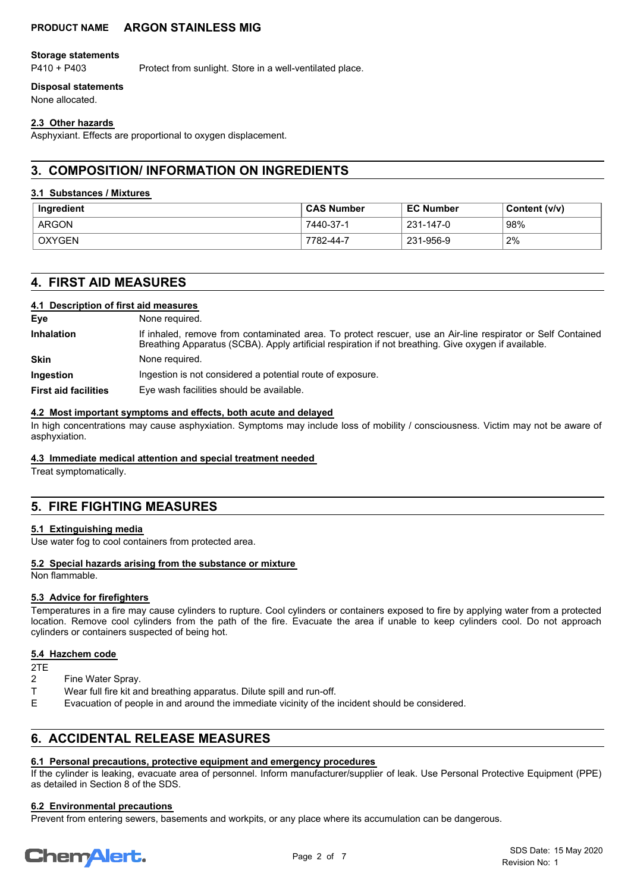#### **Storage statements**

P410 + P403 Protect from sunlight. Store in a well-ventilated place.

# **Disposal statements**

None allocated.

# **2.3 Other hazards**

Asphyxiant. Effects are proportional to oxygen displacement.

# **3. COMPOSITION/ INFORMATION ON INGREDIENTS**

# **3.1 Substances / Mixtures**

| Ingredient    | <b>CAS Number</b> | <b>EC Number</b> | Content (v/v) |
|---------------|-------------------|------------------|---------------|
| ARGON         | 7440-37-1         | 231-147-0        | 98%           |
| <b>OXYGEN</b> | 7782-44-7         | 231-956-9        | 2%            |

# **4. FIRST AID MEASURES**

## **4.1 Description of first aid measures**

| Eye                         | None required.                                                                                                                                                                                                      |
|-----------------------------|---------------------------------------------------------------------------------------------------------------------------------------------------------------------------------------------------------------------|
| <b>Inhalation</b>           | If inhaled, remove from contaminated area. To protect rescuer, use an Air-line respirator or Self Contained<br>Breathing Apparatus (SCBA). Apply artificial respiration if not breathing. Give oxygen if available. |
| <b>Skin</b>                 | None required.                                                                                                                                                                                                      |
| Ingestion                   | Ingestion is not considered a potential route of exposure.                                                                                                                                                          |
| <b>First aid facilities</b> | Eye wash facilities should be available.                                                                                                                                                                            |

# **4.2 Most important symptoms and effects, both acute and delayed**

In high concentrations may cause asphyxiation. Symptoms may include loss of mobility / consciousness. Victim may not be aware of asphyxiation.

## **4.3 Immediate medical attention and special treatment needed**

Treat symptomatically.

# **5. FIRE FIGHTING MEASURES**

## **5.1 Extinguishing media**

Use water fog to cool containers from protected area.

## **5.2 Special hazards arising from the substance or mixture**

Non flammable.

## **5.3 Advice for firefighters**

Temperatures in a fire may cause cylinders to rupture. Cool cylinders or containers exposed to fire by applying water from a protected location. Remove cool cylinders from the path of the fire. Evacuate the area if unable to keep cylinders cool. Do not approach cylinders or containers suspected of being hot.

## **5.4 Hazchem code**

2TE

- Fine Water Spray.
- T Wear full fire kit and breathing apparatus. Dilute spill and run-off.
- E Evacuation of people in and around the immediate vicinity of the incident should be considered.

# **6. ACCIDENTAL RELEASE MEASURES**

## **6.1 Personal precautions, protective equipment and emergency procedures**

If the cylinder is leaking, evacuate area of personnel. Inform manufacturer/supplier of leak. Use Personal Protective Equipment (PPE) as detailed in Section 8 of the SDS.

## **6.2 Environmental precautions**

Prevent from entering sewers, basements and workpits, or any place where its accumulation can be dangerous.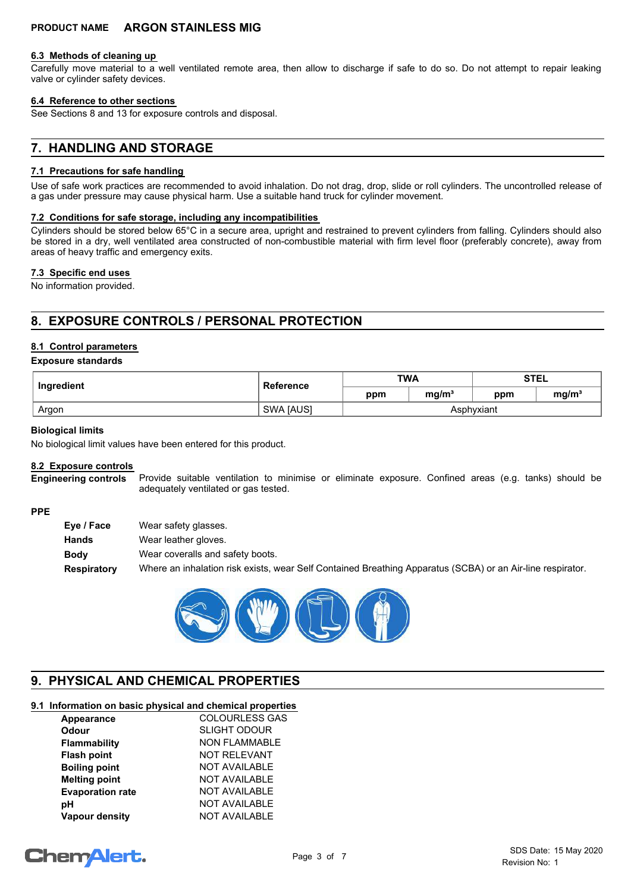#### **6.3 Methods of cleaning up**

Carefully move material to a well ventilated remote area, then allow to discharge if safe to do so. Do not attempt to repair leaking valve or cylinder safety devices.

#### **6.4 Reference to other sections**

See Sections 8 and 13 for exposure controls and disposal.

# **7. HANDLING AND STORAGE**

#### **7.1 Precautions for safe handling**

Use of safe work practices are recommended to avoid inhalation. Do not drag, drop, slide or roll cylinders. The uncontrolled release of a gas under pressure may cause physical harm. Use a suitable hand truck for cylinder movement.

#### **7.2 Conditions for safe storage, including any incompatibilities**

Cylinders should be stored below 65°C in a secure area, upright and restrained to prevent cylinders from falling. Cylinders should also be stored in a dry, well ventilated area constructed of non-combustible material with firm level floor (preferably concrete), away from areas of heavy traffic and emergency exits.

#### **7.3 Specific end uses**

No information provided.

# **8. EXPOSURE CONTROLS / PERSONAL PROTECTION**

#### **8.1 Control parameters**

#### **Exposure standards**

| Ingredient | Reference        | <b>TWA</b> |                   | <b>STEL</b> |                   |
|------------|------------------|------------|-------------------|-------------|-------------------|
|            |                  | ppm        | mg/m <sup>3</sup> | ppm         | mg/m <sup>3</sup> |
| Argon      | <b>SWA JAUSI</b> |            |                   | Asphvxiant  |                   |

#### **Biological limits**

No biological limit values have been entered for this product.

#### **8.2 Exposure controls**

Provide suitable ventilation to minimise or eliminate exposure. Confined areas (e.g. tanks) should be adequately ventilated or gas tested. **Engineering controls**

#### **PPE**

| Eye / Face  | Wear safety glasses.                                                                                       |
|-------------|------------------------------------------------------------------------------------------------------------|
| Hands       | Wear leather gloves.                                                                                       |
| <b>Body</b> | Wear coveralls and safety boots.                                                                           |
| Respiratory | Where an inhalation risk exists, wear Self Contained Breathing Apparatus (SCBA) or an Air-line respirator. |



# **9. PHYSICAL AND CHEMICAL PROPERTIES**

# **9.1 Information on basic physical and chemical properties**

| Appearance              | <b>COLOURLESS GAS</b> |
|-------------------------|-----------------------|
| <b>Odour</b>            | <b>SLIGHT ODOUR</b>   |
| Flammability            | <b>NON FLAMMABLE</b>  |
| <b>Flash point</b>      | <b>NOT RELEVANT</b>   |
| <b>Boiling point</b>    | <b>NOT AVAILABLE</b>  |
| <b>Melting point</b>    | <b>NOT AVAILABLE</b>  |
| <b>Evaporation rate</b> | <b>NOT AVAILABLE</b>  |
| рH                      | <b>NOT AVAILABLE</b>  |
| <b>Vapour density</b>   | <b>NOT AVAILABLE</b>  |
|                         |                       |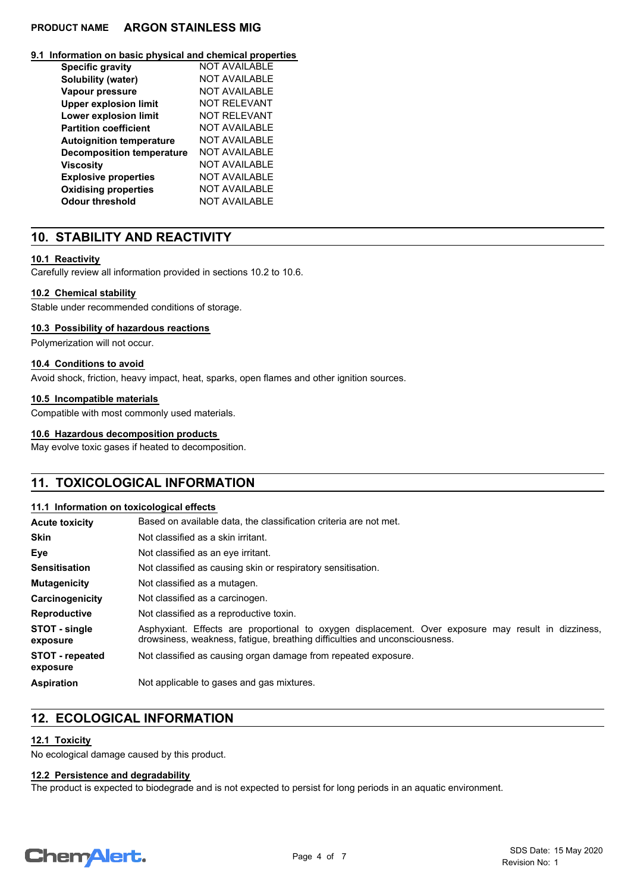#### **9.1 Information on basic physical and chemical properties**

| <b>Specific gravity</b>          | NOT AVAII ABI F      |
|----------------------------------|----------------------|
| Solubility (water)               | NOT AVAII ABI F      |
| Vapour pressure                  | NOT AVAII ABI F      |
| <b>Upper explosion limit</b>     | NOT RFI FVANT        |
| <b>Lower explosion limit</b>     | NOT RFI FVANT        |
| <b>Partition coefficient</b>     | NOT AVAII ABI F      |
| <b>Autoignition temperature</b>  | NOT AVAII ABI F      |
| <b>Decomposition temperature</b> | NOT AVAILABLE        |
| Viscosity                        | NOT AVAII ABI F      |
| <b>Explosive properties</b>      | <b>NOT AVAILABLE</b> |
| <b>Oxidising properties</b>      | <b>NOT AVAILABLE</b> |
| Odour threshold                  | NOT AVAII ABI F      |

# **10. STABILITY AND REACTIVITY**

# **10.1 Reactivity**

Carefully review all information provided in sections 10.2 to 10.6.

# **10.2 Chemical stability**

Stable under recommended conditions of storage.

# **10.3 Possibility of hazardous reactions**

Polymerization will not occur.

## **10.4 Conditions to avoid**

Avoid shock, friction, heavy impact, heat, sparks, open flames and other ignition sources.

## **10.5 Incompatible materials**

Compatible with most commonly used materials.

## **10.6 Hazardous decomposition products**

May evolve toxic gases if heated to decomposition.

# **11. TOXICOLOGICAL INFORMATION**

## **11.1 Information on toxicological effects**

| <b>Acute toxicity</b>              | Based on available data, the classification criteria are not met.                                                                                                                 |
|------------------------------------|-----------------------------------------------------------------------------------------------------------------------------------------------------------------------------------|
| <b>Skin</b>                        | Not classified as a skin irritant.                                                                                                                                                |
| Eye                                | Not classified as an eye irritant.                                                                                                                                                |
| <b>Sensitisation</b>               | Not classified as causing skin or respiratory sensitisation.                                                                                                                      |
| <b>Mutagenicity</b>                | Not classified as a mutagen.                                                                                                                                                      |
| Carcinogenicity                    | Not classified as a carcinogen.                                                                                                                                                   |
| <b>Reproductive</b>                | Not classified as a reproductive toxin.                                                                                                                                           |
| STOT - single<br>exposure          | Asphyxiant. Effects are proportional to oxygen displacement. Over exposure may result in dizziness,<br>drowsiness, weakness, fatigue, breathing difficulties and unconsciousness. |
| <b>STOT</b> - repeated<br>exposure | Not classified as causing organ damage from repeated exposure.                                                                                                                    |
| <b>Aspiration</b>                  | Not applicable to gases and gas mixtures.                                                                                                                                         |

# **12. ECOLOGICAL INFORMATION**

## **12.1 Toxicity**

No ecological damage caused by this product.

## **12.2 Persistence and degradability**

The product is expected to biodegrade and is not expected to persist for long periods in an aquatic environment.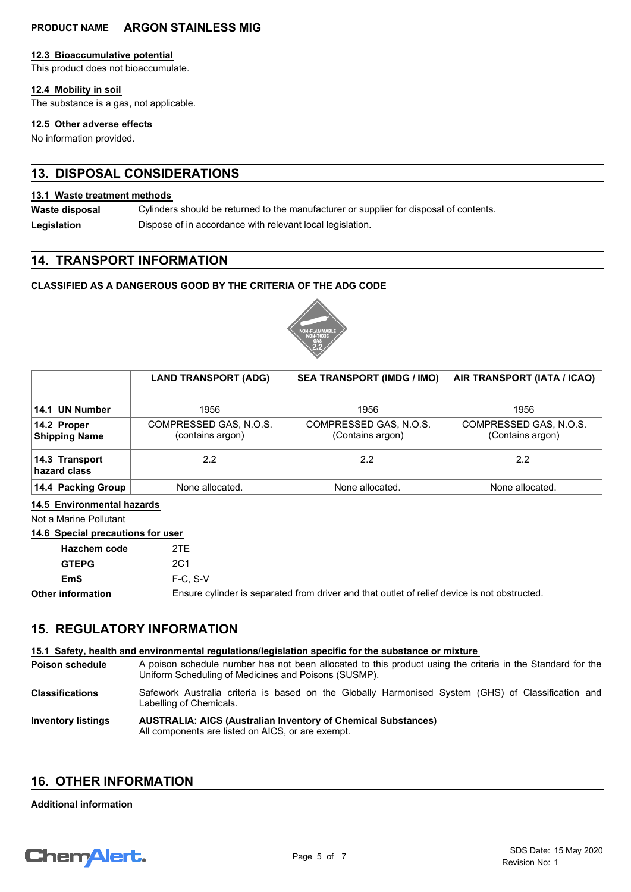#### **12.3 Bioaccumulative potential**

This product does not bioaccumulate.

#### **12.4 Mobility in soil**

The substance is a gas, not applicable.

#### **12.5 Other adverse effects**

No information provided.

# **13. DISPOSAL CONSIDERATIONS**

# **13.1 Waste treatment methods**

Cylinders should be returned to the manufacturer or supplier for disposal of contents. **Waste disposal**

**Legislation** Dispose of in accordance with relevant local legislation.

# **14. TRANSPORT INFORMATION**

# **CLASSIFIED AS A DANGEROUS GOOD BY THE CRITERIA OF THE ADG CODE**



|                                     | <b>LAND TRANSPORT (ADG)</b>                | <b>SEA TRANSPORT (IMDG / IMO)</b>          | AIR TRANSPORT (IATA / ICAO)                |
|-------------------------------------|--------------------------------------------|--------------------------------------------|--------------------------------------------|
| 14.1 UN Number                      | 1956                                       | 1956                                       | 1956                                       |
| 14.2 Proper<br><b>Shipping Name</b> | COMPRESSED GAS, N.O.S.<br>(contains argon) | COMPRESSED GAS, N.O.S.<br>(Contains argon) | COMPRESSED GAS, N.O.S.<br>(Contains argon) |
| 14.3 Transport<br>hazard class      | 2.2                                        | 2.2                                        | 22                                         |
| 14.4 Packing Group                  | None allocated.                            | None allocated.                            | None allocated.                            |

# **14.5 Environmental hazards**

Not a Marine Pollutant

# **14.6 Special precautions for user**

| <b>Hazchem code</b> | 2TF                                                                                          |
|---------------------|----------------------------------------------------------------------------------------------|
| <b>GTEPG</b>        | 2C1                                                                                          |
| EmS                 | $F-C. S-V$                                                                                   |
| Other information   | Ensure cylinder is separated from driver and that outlet of relief device is not obstructed. |

# **15. REGULATORY INFORMATION**

| 15.1 Safety, health and environmental requiations/legislation specific for the substance or mixture |                                                                                                                                                                    |  |
|-----------------------------------------------------------------------------------------------------|--------------------------------------------------------------------------------------------------------------------------------------------------------------------|--|
| <b>Poison schedule</b>                                                                              | A poison schedule number has not been allocated to this product using the criteria in the Standard for the<br>Uniform Scheduling of Medicines and Poisons (SUSMP). |  |
| <b>Classifications</b>                                                                              | Safework Australia criteria is based on the Globally Harmonised System (GHS) of Classification and<br>Labelling of Chemicals.                                      |  |
| <b>Inventory listings</b>                                                                           | <b>AUSTRALIA: AICS (Australian Inventory of Chemical Substances)</b><br>All components are listed on AICS, or are exempt.                                          |  |

# **16. OTHER INFORMATION**

#### **Additional information**

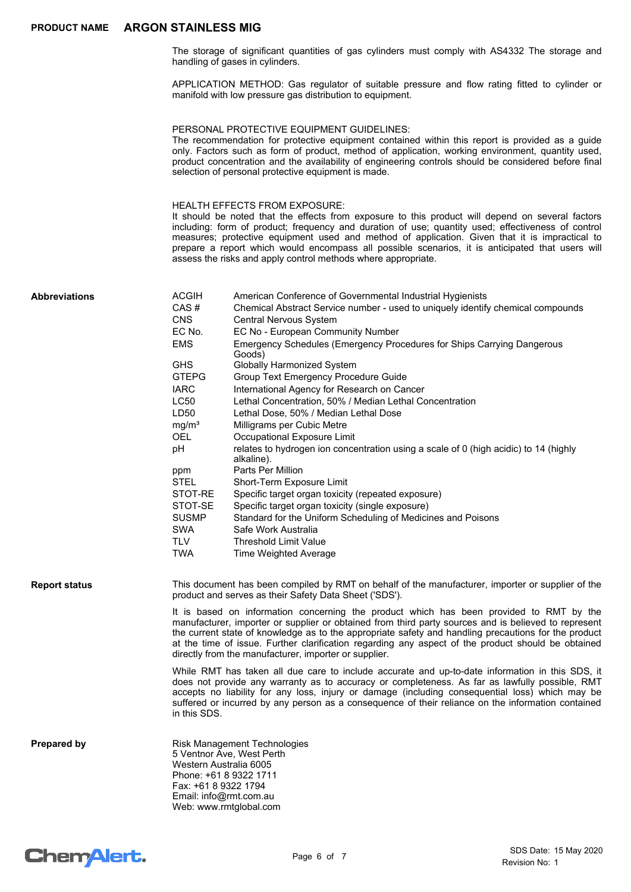The storage of significant quantities of gas cylinders must comply with AS4332 The storage and handling of gases in cylinders.

APPLICATION METHOD: Gas regulator of suitable pressure and flow rating fitted to cylinder or manifold with low pressure gas distribution to equipment.

#### PERSONAL PROTECTIVE EQUIPMENT GUIDELINES:

The recommendation for protective equipment contained within this report is provided as a guide only. Factors such as form of product, method of application, working environment, quantity used, product concentration and the availability of engineering controls should be considered before final selection of personal protective equipment is made.

#### HEALTH EFFECTS FROM EXPOSURE:

It should be noted that the effects from exposure to this product will depend on several factors including: form of product; frequency and duration of use; quantity used; effectiveness of control measures; protective equipment used and method of application. Given that it is impractical to prepare a report which would encompass all possible scenarios, it is anticipated that users will assess the risks and apply control methods where appropriate.

| <b>Abbreviations</b> | <b>ACGIH</b>                                                             | American Conference of Governmental Industrial Hygienists                                                                                                                                                                                                                                                                                                                                                                                                              |
|----------------------|--------------------------------------------------------------------------|------------------------------------------------------------------------------------------------------------------------------------------------------------------------------------------------------------------------------------------------------------------------------------------------------------------------------------------------------------------------------------------------------------------------------------------------------------------------|
|                      | CAS#                                                                     | Chemical Abstract Service number - used to uniquely identify chemical compounds                                                                                                                                                                                                                                                                                                                                                                                        |
|                      | <b>CNS</b>                                                               | Central Nervous System                                                                                                                                                                                                                                                                                                                                                                                                                                                 |
|                      | EC No.                                                                   | EC No - European Community Number                                                                                                                                                                                                                                                                                                                                                                                                                                      |
|                      | <b>EMS</b>                                                               | Emergency Schedules (Emergency Procedures for Ships Carrying Dangerous<br>Goods)                                                                                                                                                                                                                                                                                                                                                                                       |
|                      | <b>GHS</b>                                                               | <b>Globally Harmonized System</b>                                                                                                                                                                                                                                                                                                                                                                                                                                      |
|                      | <b>GTEPG</b>                                                             | <b>Group Text Emergency Procedure Guide</b>                                                                                                                                                                                                                                                                                                                                                                                                                            |
|                      | <b>IARC</b>                                                              | International Agency for Research on Cancer                                                                                                                                                                                                                                                                                                                                                                                                                            |
|                      | <b>LC50</b>                                                              | Lethal Concentration, 50% / Median Lethal Concentration                                                                                                                                                                                                                                                                                                                                                                                                                |
|                      | LD50                                                                     | Lethal Dose, 50% / Median Lethal Dose                                                                                                                                                                                                                                                                                                                                                                                                                                  |
|                      | mq/m <sup>3</sup>                                                        | Milligrams per Cubic Metre                                                                                                                                                                                                                                                                                                                                                                                                                                             |
|                      | <b>OEL</b>                                                               | Occupational Exposure Limit                                                                                                                                                                                                                                                                                                                                                                                                                                            |
|                      | рH                                                                       | relates to hydrogen ion concentration using a scale of 0 (high acidic) to 14 (highly<br>alkaline).                                                                                                                                                                                                                                                                                                                                                                     |
|                      | ppm                                                                      | Parts Per Million                                                                                                                                                                                                                                                                                                                                                                                                                                                      |
|                      | <b>STEL</b>                                                              | Short-Term Exposure Limit                                                                                                                                                                                                                                                                                                                                                                                                                                              |
|                      | STOT-RE                                                                  | Specific target organ toxicity (repeated exposure)                                                                                                                                                                                                                                                                                                                                                                                                                     |
|                      | STOT-SE                                                                  | Specific target organ toxicity (single exposure)                                                                                                                                                                                                                                                                                                                                                                                                                       |
|                      | <b>SUSMP</b>                                                             | Standard for the Uniform Scheduling of Medicines and Poisons                                                                                                                                                                                                                                                                                                                                                                                                           |
|                      | <b>SWA</b>                                                               | Safe Work Australia                                                                                                                                                                                                                                                                                                                                                                                                                                                    |
|                      | TLV                                                                      | <b>Threshold Limit Value</b>                                                                                                                                                                                                                                                                                                                                                                                                                                           |
|                      | <b>TWA</b>                                                               | <b>Time Weighted Average</b>                                                                                                                                                                                                                                                                                                                                                                                                                                           |
|                      |                                                                          |                                                                                                                                                                                                                                                                                                                                                                                                                                                                        |
| <b>Report status</b> |                                                                          | This document has been compiled by RMT on behalf of the manufacturer, importer or supplier of the<br>product and serves as their Safety Data Sheet ('SDS').                                                                                                                                                                                                                                                                                                            |
|                      |                                                                          | It is based on information concerning the product which has been provided to RMT by the<br>manufacturer, importer or supplier or obtained from third party sources and is believed to represent<br>the current state of knowledge as to the appropriate safety and handling precautions for the product<br>at the time of issue. Further clarification regarding any aspect of the product should be obtained<br>directly from the manufacturer, importer or supplier. |
|                      | in this SDS.                                                             | While RMT has taken all due care to include accurate and up-to-date information in this SDS, it<br>does not provide any warranty as to accuracy or completeness. As far as lawfully possible, RMT<br>accepts no liability for any loss, injury or damage (including consequential loss) which may be<br>suffered or incurred by any person as a consequence of their reliance on the information contained                                                             |
| <b>Prepared by</b>   | Western Australia 6005<br>Fax: +61 8 9322 1794<br>Email: info@rmt.com.au | <b>Risk Management Technologies</b><br>5 Ventnor Ave, West Perth<br>Phone: +61 8 9322 1711<br>Web: www.rmtglobal.com                                                                                                                                                                                                                                                                                                                                                   |